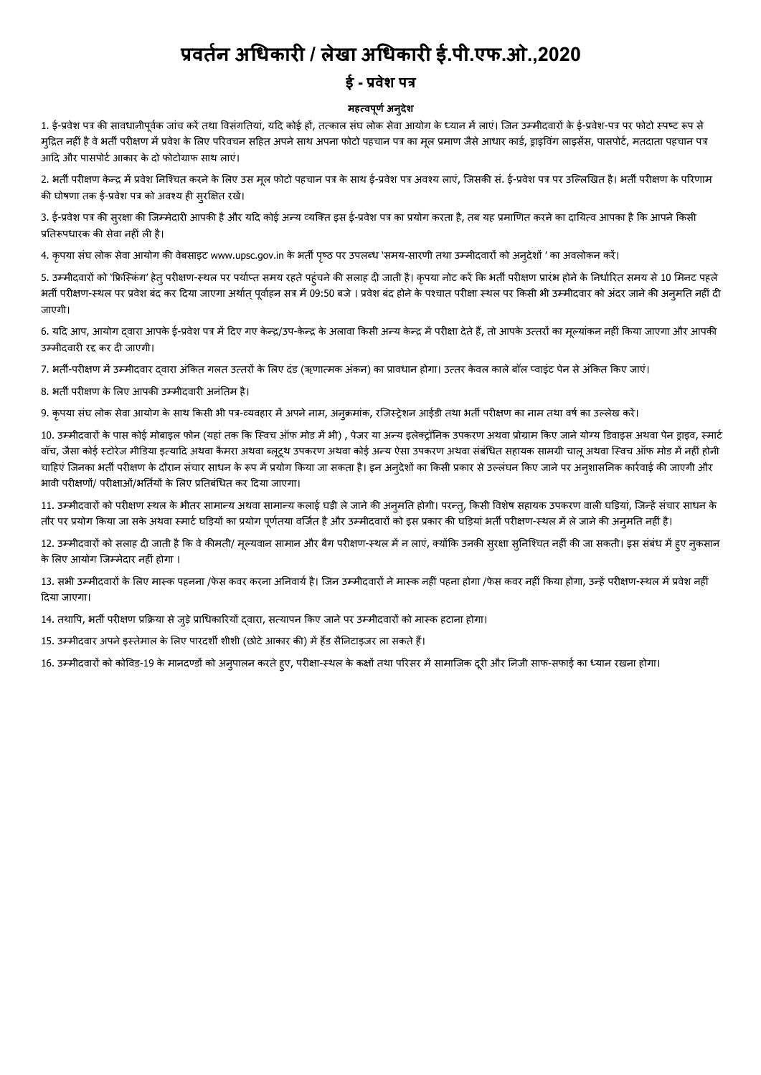# **वतन अधकार / लेखा अधकार ई.पी.एफ.ओ.,2020**

### **ई - वेश प**

#### **महवपणू अनदुेश**

1. ई-प्रवेश पत्र की सावधानीपर्वक जांच करें तथा विसंगतियां, यदि कोई हों, तत्काल संघ लोक सेवा आयोग के ध्यान में लाएं। जिन उम्मीदवारों के ई-प्रवेश-पत्र पर फोटो स्पष्ट रूप से मुद्रित नहीं है वे भर्ती परीक्षण में प्रवेश के लिए परिवचन सहित अपने साथ अपना फोटो पहचान पत्र माण जम्म अपना पत्न आदि और पासपोर्ट आकार के दो फोटोग्राफ साथ लाएं।

2. भती परीक्षण केन्द्र में प्रवेश निश्चित करने के लिए उस मल फोटो पहचान पत्र के साथ ई-प्रवेश लाएं, जिसकी सं. ई-प्रवेश पत्र पर उल्लिखित है। भती परीक्षण के परिणाम की घोषणा तक ई-प्रवेश पत्र को अवश्य ही सुरक्षित रखें।

3. ई-प्रवेश पत्र की सरक्षा की जिम्मेदारी आपकी है और यदि कोई अन्य व्यक्त इंस इंस पर का प्रयोग करनेका जायत करने का दायित्व आपका है कि आपने किसी प्रतिरूपधारक की सेवा नहीं ली है।

4. कृपया संघ लोक सेवा आयोग की वेबसाइट www.upsc.gov.in के भर्ती पृष्ठ पर उपलब्ध `समय-सारणी तथा उम्मीदवारों को अन्**देशों '** का अवलोकन करें।

5. उम्मीदवारों को 'फ्रिस्किंग' हेत् परीक्षण-स्थल पर पर्याप्त समय रहते पहुंचने की सलाह दी जाती है। कृपया नोट करे किसी परीक्षण प्रारंभ होने के निर्धारित समय से 10 मिनट पहले भर्ती परीक्षण-स्थल पर प्रवेश बंद कर दिया जाएगा अर्थात् पूर्वाहन सत्र में 09:50 बजे । प्रवेश बंद होने के पश्चात स्थल पर किसी भी उम्मीदवार को अंदर जाने की अनुमति नहीं दी जाएगी।

6. यदि आप, आयोग दवारा आपके ई-प्रवेश पत्र में दिए गए केन्द्र/उप-केन्द्र के अलावा किसी अन्य केन्द्र में परीक्षा देते हैं, तो आपके उत्तरों का मुल्यांकन नहीं किया जाएगा और आपकी उम्मीदवारी रद्द कर दी जाएगी।

7. भर्ती-परीक्षण में उम्मीदवार दवारा अंकित गलत उत्तरों के लिए दंड (ऋणात्मक अंकन) का प्रावधान होगा। उत्तर केवल काले बॉल प्वाइंट पेन से अंकित किए जाएं।

8. भर्ती परीक्षण के लिए आपकी उम्मीदवारी अनंतिम है।

9. कृपया संघ लोक सेवा आयोग के साथ किसी भी पत्र-व्यवहार में अपने नाम, अनक्रमांक, रजिस्ट्रेशन आईडी तथा भर्ती परीक्षण का नाम तथा वर्ष का उल्लेख करें।

10. उम्मीदवारों के पास कोई मोबाइल फोन (यहां तक कि स्विच ऑफ मोड में भी) , पेजर या अन्य इलेक्ट्रॉनिक उपकरण अथवा प्रोग्राम किए जाने योग्य डिवाइस अथवा पेन डाइव, स्मार्ट वॉच, जैसा कोई स्टोरेज मीडिया इत्यादि अथवा कैमरा अथवा कुट्टथ उपकरण अथि उपकरण अथवा संबंधित सहायक सामग्री चालू अथवा स्विच ऑफ मोड में नहीं होनी चाहिएं जिनका भर्ती परीक्षण के दौरान संचार साधन के रूप में प्रयोग किया जा सकता है। इन अनुरेश काल से जल्लंघन कार अनुशासनिक कार्रवाई की जाएगी और भावी परीक्षणों/ परीक्षाओं/भर्तियों के लिए प्रतिबंधित कर दिया जाएगा।

11. उम्मीदवारों को परीक्षण स्थल के भीतर सामान्य अथवा सामान्य कलाई घड़ी ले जाने की अनुमति होगी। परन्तु, किसी विशेष सहायक उपकरण वाली घड़ियां, जिन्हें संचार साधन के तौर पर प्रयोग किया जा सके अथवा स्मार्ट घड़ियों का प्रयोग पूर्णतया वर्जित है और उम्मीदवारों को इस प्रकार की घड़ियां भर्ती परीक्षण-स्थल में ले जाने की अन्मति नहीं है।

12. उम्मीदवारों को सलाह दी जाती है कि वे कीमती/ मूल्यवान सामान और बैग परीक्षण-स्थल में न लाएं, क्योंकि उनकी सुरक्षा सुनिश्चित नहीं की जा सकती। इस संबंध में हुए नुकसान के लिए आयोग जिम्मेदार नहीं होगा ।

13. सभी उम्मीदवारों के लिए मास्क पहनना /फेस कवर करना अनिवार्य है। जिन उम्मीदवारों ने मास्क नहीं पहना होगा /फेस कवर नहीं किया होगा, उन्हें परीक्षण-स्थल में प्रवेश नहीं दया जाएगा।

14. तथापि, भर्ती परीक्षण प्रक्रिया से जुड़े प्राधिकारियों दवारा, सत्यापन किए जाने पर उम्मीदवारों को मास्क हटाना होगा।

15. उम्मीदवार अपने इस्तेमाल के लिए पारदर्शी शीशी (छोटे आकार की) में हैंड सैनिटाइजर ला सकते हैं।

16. उम्मीदवारों को कोविड-19 के मानदण्डों को अनुपालन करते हुए, परीक्षा-स्थल के कक्षों तथा परिसर में सामाजिक दूरी और निजी साफ-सफाई का ध्यान रखना होगा।